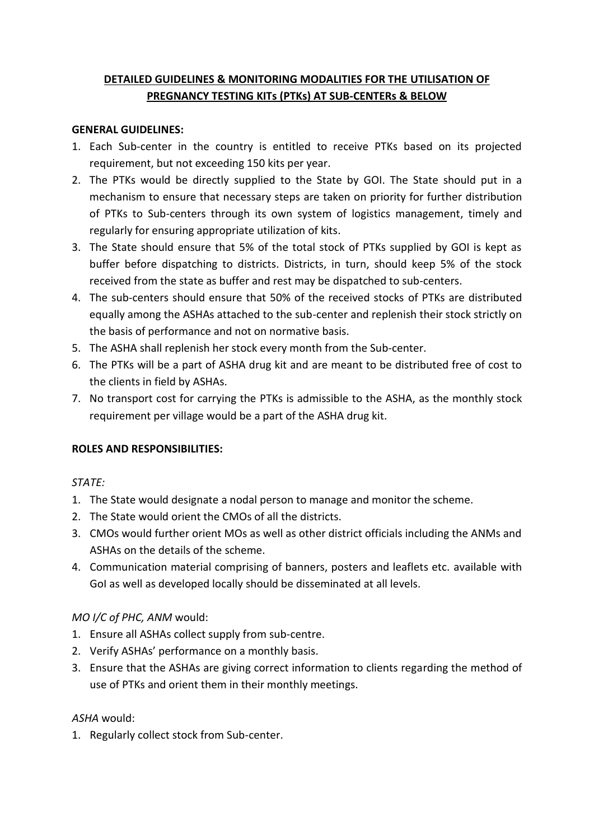# **DETAILED GUIDELINES & MONITORING MODALITIES FOR THE UTILISATION OF PREGNANCY TESTING KITs (PTKs) AT SUB-CENTERs & BELOW**

#### **GENERAL GUIDELINES:**

- 1. Each Sub-center in the country is entitled to receive PTKs based on its projected requirement, but not exceeding 150 kits per year.
- 2. The PTKs would be directly supplied to the State by GOI. The State should put in a mechanism to ensure that necessary steps are taken on priority for further distribution of PTKs to Sub-centers through its own system of logistics management, timely and regularly for ensuring appropriate utilization of kits.
- 3. The State should ensure that 5% of the total stock of PTKs supplied by GOI is kept as buffer before dispatching to districts. Districts, in turn, should keep 5% of the stock received from the state as buffer and rest may be dispatched to sub-centers.
- 4. The sub-centers should ensure that 50% of the received stocks of PTKs are distributed equally among the ASHAs attached to the sub-center and replenish their stock strictly on the basis of performance and not on normative basis.
- 5. The ASHA shall replenish her stock every month from the Sub-center.
- 6. The PTKs will be a part of ASHA drug kit and are meant to be distributed free of cost to the clients in field by ASHAs.
- 7. No transport cost for carrying the PTKs is admissible to the ASHA, as the monthly stock requirement per village would be a part of the ASHA drug kit.

### **ROLES AND RESPONSIBILITIES:**

### *STATE:*

- 1. The State would designate a nodal person to manage and monitor the scheme.
- 2. The State would orient the CMOs of all the districts.
- 3. CMOs would further orient MOs as well as other district officials including the ANMs and ASHAs on the details of the scheme.
- 4. Communication material comprising of banners, posters and leaflets etc. available with GoI as well as developed locally should be disseminated at all levels.

### *MO I/C of PHC, ANM* would:

- 1. Ensure all ASHAs collect supply from sub-centre.
- 2. Verify ASHAs' performance on a monthly basis.
- 3. Ensure that the ASHAs are giving correct information to clients regarding the method of use of PTKs and orient them in their monthly meetings.

### *ASHA* would:

1. Regularly collect stock from Sub-center.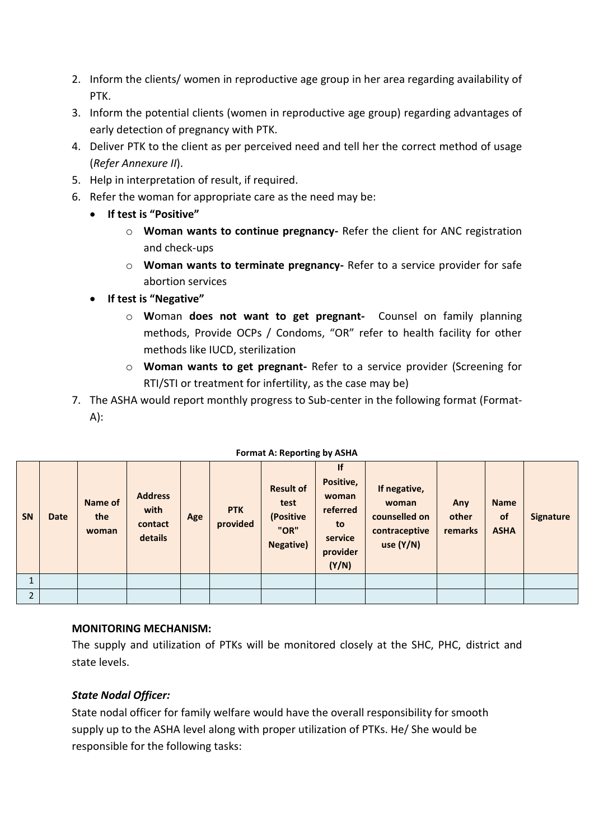- 2. Inform the clients/ women in reproductive age group in her area regarding availability of PTK.
- 3. Inform the potential clients (women in reproductive age group) regarding advantages of early detection of pregnancy with PTK.
- 4. Deliver PTK to the client as per perceived need and tell her the correct method of usage (*Refer Annexure II*).
- 5. Help in interpretation of result, if required.
- 6. Refer the woman for appropriate care as the need may be:
	- **If test is "Positive"** 
		- o **Woman wants to continue pregnancy-** Refer the client for ANC registration and check-ups
		- o **Woman wants to terminate pregnancy-** Refer to a service provider for safe abortion services
	- **If test is "Negative"** 
		- o **W**oman **does not want to get pregnant-** Counsel on family planning methods, Provide OCPs / Condoms, "OR" refer to health facility for other methods like IUCD, sterilization
		- o **Woman wants to get pregnant-** Refer to a service provider (Screening for RTI/STI or treatment for infertility, as the case may be)
- 7. The ASHA would report monthly progress to Sub-center in the following format (Format- $A$ :

| <b>SN</b>      | <b>Date</b> | Name of<br>the<br>woman | <b>Address</b><br>with<br>contact<br>details | Age | <b>PTK</b><br>provided | <b>Result of</b><br>test<br>(Positive<br>"OR"<br><b>Negative)</b> | If<br>Positive,<br>woman<br>referred<br>to<br>service<br>provider<br>(Y/N) | If negative,<br>woman<br>counselled on<br>contraceptive<br>use $(Y/N)$ | Any<br>other<br>remarks | <b>Name</b><br>of<br><b>ASHA</b> | <b>Signature</b> |
|----------------|-------------|-------------------------|----------------------------------------------|-----|------------------------|-------------------------------------------------------------------|----------------------------------------------------------------------------|------------------------------------------------------------------------|-------------------------|----------------------------------|------------------|
|                |             |                         |                                              |     |                        |                                                                   |                                                                            |                                                                        |                         |                                  |                  |
| $\overline{2}$ |             |                         |                                              |     |                        |                                                                   |                                                                            |                                                                        |                         |                                  |                  |

#### **Format A: Reporting by ASHA**

## **MONITORING MECHANISM:**

The supply and utilization of PTKs will be monitored closely at the SHC, PHC, district and state levels.

## *State Nodal Officer:*

State nodal officer for family welfare would have the overall responsibility for smooth supply up to the ASHA level along with proper utilization of PTKs. He/ She would be responsible for the following tasks: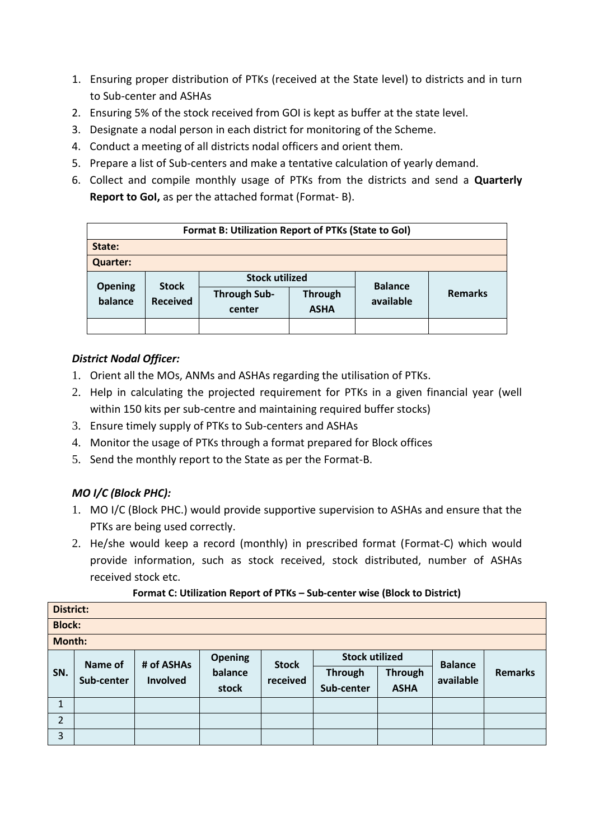- 1. Ensuring proper distribution of PTKs (received at the State level) to districts and in turn to Sub-center and ASHAs
- 2. Ensuring 5% of the stock received from GOI is kept as buffer at the state level.
- 3. Designate a nodal person in each district for monitoring of the Scheme.
- 4. Conduct a meeting of all districts nodal officers and orient them.
- 5. Prepare a list of Sub-centers and make a tentative calculation of yearly demand.
- 6. Collect and compile monthly usage of PTKs from the districts and send a **Quarterly Report to GoI,** as per the attached format (Format- B).

| Format B: Utilization Report of PTKs (State to Gol) |                 |                       |                |                |                |  |  |  |  |
|-----------------------------------------------------|-----------------|-----------------------|----------------|----------------|----------------|--|--|--|--|
| State:                                              |                 |                       |                |                |                |  |  |  |  |
| <b>Quarter:</b>                                     |                 |                       |                |                |                |  |  |  |  |
|                                                     | <b>Stock</b>    | <b>Stock utilized</b> |                | <b>Balance</b> |                |  |  |  |  |
| <b>Opening</b><br>balance                           | <b>Received</b> | <b>Through Sub-</b>   | <b>Through</b> | available      | <b>Remarks</b> |  |  |  |  |
|                                                     |                 | center                | <b>ASHA</b>    |                |                |  |  |  |  |
|                                                     |                 |                       |                |                |                |  |  |  |  |

## *District Nodal Officer:*

- 1. Orient all the MOs, ANMs and ASHAs regarding the utilisation of PTKs.
- 2. Help in calculating the projected requirement for PTKs in a given financial year (well within 150 kits per sub-centre and maintaining required buffer stocks)
- 3. Ensure timely supply of PTKs to Sub-centers and ASHAs
- 4. Monitor the usage of PTKs through a format prepared for Block offices
- 5. Send the monthly report to the State as per the Format-B.

# *MO I/C (Block PHC):*

- 1. MO I/C (Block PHC.) would provide supportive supervision to ASHAs and ensure that the PTKs are being used correctly.
- 2. He/she would keep a record (monthly) in prescribed format (Format-C) which would provide information, such as stock received, stock distributed, number of ASHAs received stock etc.

## **Format C: Utilization Report of PTKs – Sub-center wise (Block to District)**

| <b>District:</b> |                       |                               |                                    |                          |                       |                |                |                |  |  |
|------------------|-----------------------|-------------------------------|------------------------------------|--------------------------|-----------------------|----------------|----------------|----------------|--|--|
| <b>Block:</b>    |                       |                               |                                    |                          |                       |                |                |                |  |  |
| <b>Month:</b>    |                       |                               |                                    |                          |                       |                |                |                |  |  |
|                  | Name of<br>Sub-center | # of ASHAs<br><b>Involved</b> | <b>Opening</b><br>balance<br>stock | <b>Stock</b><br>received | <b>Stock utilized</b> |                | <b>Balance</b> |                |  |  |
| SN.              |                       |                               |                                    |                          | <b>Through</b>        | <b>Through</b> | available      | <b>Remarks</b> |  |  |
|                  |                       |                               |                                    |                          | Sub-center            | <b>ASHA</b>    |                |                |  |  |
| 1                |                       |                               |                                    |                          |                       |                |                |                |  |  |
| $\overline{2}$   |                       |                               |                                    |                          |                       |                |                |                |  |  |
| 3                |                       |                               |                                    |                          |                       |                |                |                |  |  |